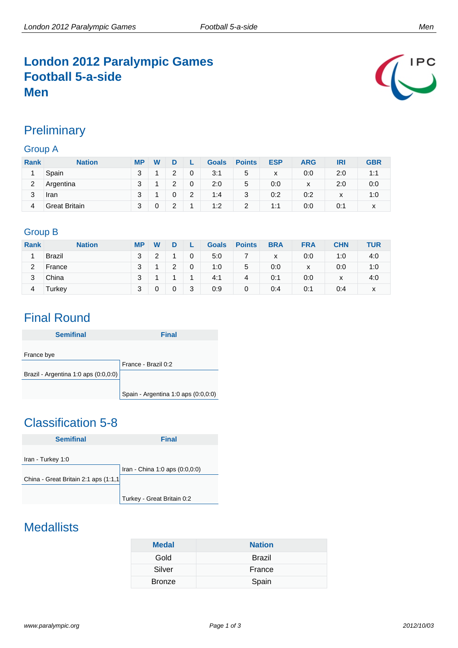## **London 2012 Paralympic Games Football 5-a-side Men**



### **Preliminary**

#### Group A

| <b>Rank</b> | <b>Nation</b>        | <b>MP</b> | W |   |   | <b>Goals</b> | <b>Points</b> | <b>ESP</b> | <b>ARG</b> | IRI | <b>GBR</b> |
|-------------|----------------------|-----------|---|---|---|--------------|---------------|------------|------------|-----|------------|
|             | Spain                | 3         |   | っ | 0 | 3:1          | 5             | x          | 0:0        | 2:0 | 1:1        |
| 2           | Argentina            | 3         |   | っ | 0 | 2:0          | 5             | 0:0        | X          | 2:0 | 0:0        |
| 3           | Iran                 | 3         |   |   | 2 | 1:4          | 3             | 0:2        | 0:2        | х   | 1:0        |
| 4           | <b>Great Britain</b> | 3         |   | っ | и | 1:2          | 2             | 1:1        | 0:0        | 0:1 | x          |

#### Group B

| <b>Rank</b> | <b>Nation</b> | <b>MP</b> | W |   |   | <b>Goals</b> | <b>Points</b> | <b>BRA</b> | <b>FRA</b> | <b>CHN</b>       | TUR |
|-------------|---------------|-----------|---|---|---|--------------|---------------|------------|------------|------------------|-----|
|             | <b>Brazil</b> | 3         | ◠ |   | 0 | 5:0          |               | x          | 0:0        | 1:0              | 4:0 |
| 2           | France        | 3         |   | っ | 0 | 1:0          | 5             | 0:0        | x          | 0:0              | 1:0 |
| 3           | China         | 3         |   |   |   | 4:1          | 4             | 0:1        | 0:0        | $\mathbf v$<br>⋏ | 4:0 |
| 4           | Turkey        | 3         |   | 0 | 3 | 0:9          | 0             | 0:4        | 0:1        | 0:4              | x   |

## Final Round

| <b>Semifinal</b>                     | <b>Final</b>                        |
|--------------------------------------|-------------------------------------|
|                                      |                                     |
| France bye                           |                                     |
|                                      | France - Brazil 0:2                 |
| Brazil - Argentina 1:0 aps (0:0,0:0) |                                     |
|                                      |                                     |
|                                      | Spain - Argentina 1:0 aps (0:0,0:0) |

## Classification 5-8



## **Medallists**

| <b>Medal</b>  | <b>Nation</b> |
|---------------|---------------|
| Gold          | <b>Brazil</b> |
| Silver        | France        |
| <b>Bronze</b> | Spain         |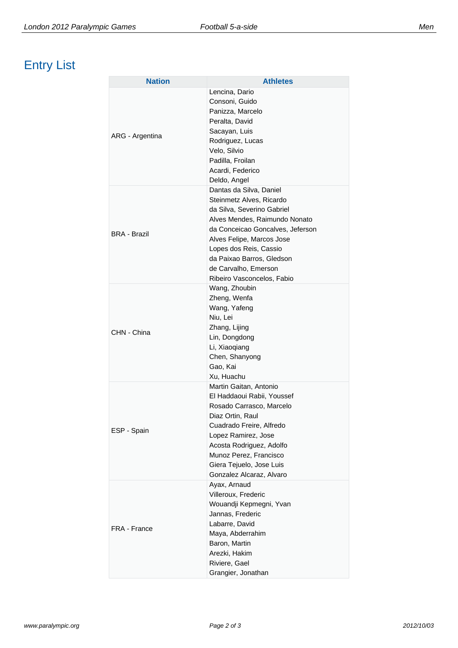# Entry List

| <b>Nation</b>       | <b>Athletes</b>                                                                                                                                                                                                                                                                                  |
|---------------------|--------------------------------------------------------------------------------------------------------------------------------------------------------------------------------------------------------------------------------------------------------------------------------------------------|
| ARG - Argentina     | Lencina, Dario<br>Consoni, Guido<br>Panizza, Marcelo<br>Peralta, David<br>Sacayan, Luis<br>Rodriguez, Lucas<br>Velo, Silvio<br>Padilla, Froilan<br>Acardi, Federico<br>Deldo, Angel                                                                                                              |
| <b>BRA - Brazil</b> | Dantas da Silva, Daniel<br>Steinmetz Alves, Ricardo<br>da Silva, Severino Gabriel<br>Alves Mendes, Raimundo Nonato<br>da Conceicao Goncalves, Jeferson<br>Alves Felipe, Marcos Jose<br>Lopes dos Reis, Cassio<br>da Paixao Barros, Gledson<br>de Carvalho, Emerson<br>Ribeiro Vasconcelos, Fabio |
| CHN - China         | Wang, Zhoubin<br>Zheng, Wenfa<br>Wang, Yafeng<br>Niu, Lei<br>Zhang, Lijing<br>Lin, Dongdong<br>Li, Xiaoqiang<br>Chen, Shanyong<br>Gao, Kai<br>Xu, Huachu                                                                                                                                         |
| ESP - Spain         | Martin Gaitan, Antonio<br>El Haddaoui Rabii, Youssef<br>Rosado Carrasco, Marcelo<br>Diaz Ortin, Raul<br>Cuadrado Freire, Alfredo<br>Lopez Ramirez, Jose<br>Acosta Rodriguez, Adolfo<br>Munoz Perez, Francisco<br>Giera Tejuelo, Jose Luis<br>Gonzalez Alcaraz, Alvaro                            |
| FRA - France        | Ayax, Arnaud<br>Villeroux, Frederic<br>Wouandji Kepmegni, Yvan<br>Jannas, Frederic<br>Labarre, David<br>Maya, Abderrahim<br>Baron, Martin<br>Arezki, Hakim<br>Riviere, Gael<br>Grangier, Jonathan                                                                                                |